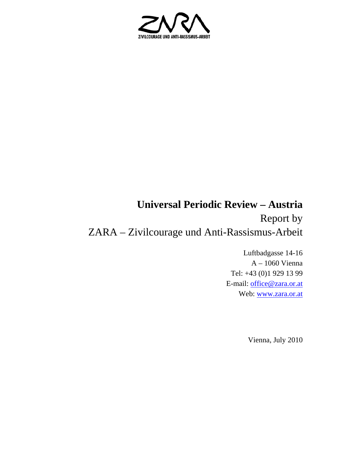

# **Universal Periodic Review – Austria**  Report by ZARA – Zivilcourage und Anti-Rassismus-Arbeit

Luftbadgasse 14-16 A – 1060 Vienna Tel: +43 (0)1 929 13 99 E-mail: office@zara.or.at Web: www.zara.or.at

Vienna, July 2010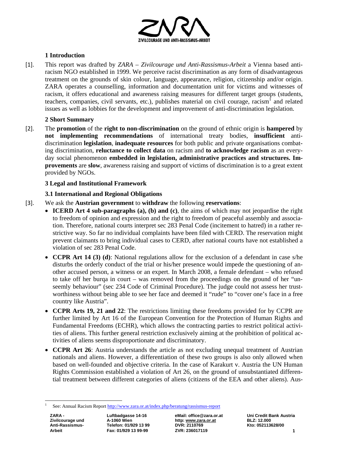

# **1 Introduction**

[1]. This report was drafted by *ZARA – Zivilcourage und Anti-Rassismus-Arbeit* a Vienna based antiracism NGO established in 1999. We perceive racist discrimination as any form of disadvantageous treatment on the grounds of skin colour, language, appearance, religion, citizenship and/or origin. ZARA operates a counselling, information and documentation unit for victims and witnesses of racism, it offers educational and awareness raising measures for different target groups (students, teachers, companies, civil servants, etc.), publishes material on civil courage, racism<sup>1</sup> and related issues as well as lobbies for the development and improvement of anti-discrimination legislation.

## **2 Short Summary**

[2]. The **promotion** of the **right to non-discrimination** on the ground of ethnic origin is **hampered** by **not implementing recommendations** of international treaty bodies, **insufficient** antidiscrimination **legislation**, **inadequate resources** for both public and private organisations combating discrimination, **reluctance to collect data** on racism and **to acknowledge racism** as an everyday social phenomenon **embedded in legislation, administrative practices and structures. Improvements** are **slow**, awareness raising and support of victims of discrimination is to a great extent provided by NGOs.

## **3 Legal and Institutional Framework**

## **3.1 International and Regional Obligations**

- [3]. We ask the **Austrian government** to **withdraw** the following **reservations**:
	- **ICERD Art 4 sub-paragraphs (a), (b) and (c)**, the aims of which may not jeopardise the right to freedom of opinion and expression and the right to freedom of peaceful assembly and association. Therefore, national courts interpret sec 283 Penal Code (incitement to hatred) in a rather restrictive way. So far no individual complaints have been filed with CERD. The reservation might prevent claimants to bring individual cases to CERD, after national courts have not established a violation of sec 283 Penal Code.
	- **CCPR Art 14 (3) (d)**: National regulations allow for the exclusion of a defendant in case s/he disturbs the orderly conduct of the trial or his/her presence would impede the questioning of another accused person, a witness or an expert. In March 2008, a female defendant – who refused to take off her burqa in court – was removed from the proceedings on the ground of her "unseemly behaviour" (sec 234 Code of Criminal Procedure). The judge could not assess her trustworthiness without being able to see her face and deemed it "rude" to "cover one's face in a free country like Austria".
	- **CCPR Arts 19, 21 and 22**: The restrictions limiting these freedoms provided for by CCPR are further limited by Art 16 of the European Convention for the Protection of Human Rights and Fundamental Freedoms (ECHR), which allows the contracting parties to restrict political activities of aliens. This further general restriction exclusively aiming at the prohibition of political activities of aliens seems disproportionate and discriminatory.
	- **CCPR Art 26**: Austria understands the article as not excluding unequal treatment of Austrian nationals and aliens. However, a differentiation of these two groups is also only allowed when based on well-founded and objective criteria. In the case of Karakurt v. Austria the UN Human Rights Commission established a violation of Art 26, on the ground of unsubstantiated differential treatment between different categories of aliens (citizens of the EEA and other aliens). Aus-

 $\overline{a}$ 

Anti-Rassismus-<br>
Telefon: 01/929 13 99 DVR: 2110769

**Zivilcourage und A-1060 Wien http: www.zara.or.at BLZ: 12.000 Arbeit Fax: 01/929 13 99-99 2VR: 236017119 1 1** 

<sup>1</sup> See: Annual Racism Report http://www.zara.or.at/index.php/beratung/rassismus-report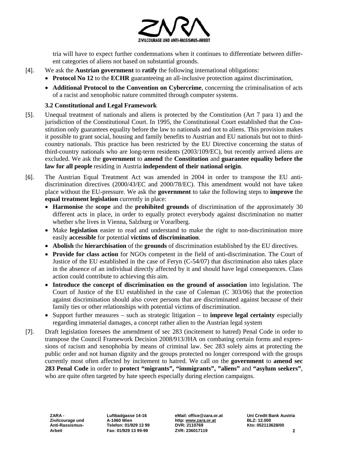

tria will have to expect further condemnations when it continues to differentiate between different categories of aliens not based on substantial grounds.

- [4]. We ask the **Austrian government** to **ratify** the following international obligations:
	- **Protocol No 12** to the **ECHR** guaranteeing an all-inclusive protection against discrimination,
		- **Additional Protocol to the Convention on Cybercrime**, concerning the criminalisation of acts of a racist and xenophobic nature committed through computer systems.

# **3.2 Constitutional and Legal Framework**

- [5]. Unequal treatment of nationals and aliens is protected by the Constitution (Art 7 para 1) and the jurisdiction of the Constitutional Court. In 1995, the Constitutional Court established that the Constitution only guarantees equality before the law to nationals and not to aliens. This provision makes it possible to grant social, housing and family benefits to Austrian and EU nationals but not to thirdcountry nationals. This practice has been restricted by the EU Directive concerning the status of third-country nationals who are long-term residents (2003/109/EC), but recently arrived aliens are excluded. We ask the **government** to **amend** the **Constitution** and **guarantee equality before the law for all people** residing in Austria **independent of their national origin**.
- [6]. The Austrian Equal Treatment Act was amended in 2004 in order to transpose the EU antidiscrimination directives (2000/43/EC and 2000/78/EC). This amendment would not have taken place without the EU-pressure. We ask the **government** to take the following steps to **improve** the **equal treatment legislation** currently in place:
	- **Harmonise** the **scope** and the **prohibited grounds** of discrimination of the approximately 30 different acts in place, in order to equally protect everybody against discrimination no matter whether s/he lives in Vienna, Salzburg or Vorarlberg.
	- Make **legislation** easier to read and understand to make the right to non-discrimination more easily **accessible** for potential **victims of discrimination**.
	- **Abolish** the **hierarchisation** of the **grounds** of discrimination established by the EU directives.
	- **Provide for class action** for NGOs competent in the field of anti-discrimination. The Court of Justice of the EU established in the case of Feryn (C-54/07) that discrimination also takes place in the absence of an individual directly affected by it and should have legal consequences. Class action could contribute to achieving this aim.
	- **Introduce the concept of discrimination on the ground of association** into legislation. The Court of Justice of the EU established in the case of Coleman (C 303/06) that the protection against discrimination should also cover persons that are discriminated against because of their family ties or other relationships with potential victims of discrimination.
	- Support further measures such as strategic litigation to **improve legal certainty** especially regarding immaterial damages, a concept rather alien to the Austrian legal system
- [7]. Draft legislation foresees the amendment of sec 283 (incitement to hatred) Penal Code in order to transpose the Council Framework Decision 2008/913/JHA on combating certain forms and expressions of racism and xenophobia by means of criminal law. Sec 283 solely aims at protecting the public order and not human dignity and the groups protected no longer correspond with the groups currently most often affected by incitement to hatred. We call on the **government** to **amend sec 283 Penal Code** in order to **protect "migrants", "immigrants", "aliens"** and **"asylum seekers"**, who are quite often targeted by hate speech especially during election campaigns.

Anti-Rassismus-<br>
Telefon: 01/929 13 99 DVR: 2110769

**Zivilcourage und A-1060 Wien http: www.zara.or.at BLZ: 12.000 Arbeit Fax: 01/929 13 99-99 ZVR: 236017119 2**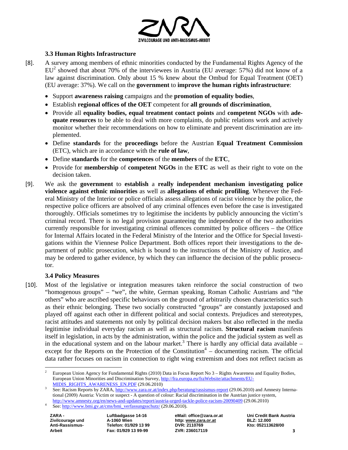

## **3.3 Human Rights Infrastructure**

- [8]. A survey among members of ethnic minorities conducted by the Fundamental Rights Agency of the  $EU<sup>2</sup>$  showed that about 70% of the interviewees in Austria (EU average: 57%) did not know of a law against discrimination. Only about 15 % knew about the Ombud for Equal Treatment (OET) (EU average: 37%). We call on the **government** to **improve the human rights infrastructure**:
	- Support **awareness raising** campaigns and the **promotion of equality bodies**,
	- Establish **regional offices of the OET** competent for **all grounds of discrimination**,
	- Provide all **equality bodies, equal treatment contact points** and **competent NGOs** with **adequate resources** to be able to deal with more complaints, do public relations work and actively monitor whether their recommendations on how to eliminate and prevent discrimination are implemented.
	- Define **standards** for the **proceedings** before the Austrian **Equal Treatment Commission** (ETC), which are in accordance with the **rule of law**,
	- Define **standards** for the **competences** of the **members** of the **ETC**,
	- Provide for **membership** of **competent NGOs** in the **ETC** as well as their right to vote on the decision taken.
- [9]. We ask the **government** to **establish** a **really independent mechanism investigating police violence against ethnic minorities** as well as **allegations of ethnic profiling**. Whenever the Federal Ministry of the Interior or police officials assess allegations of racist violence by the police, the respective police officers are absolved of any criminal offences even before the case is investigated thoroughly. Officials sometimes try to legitimise the incidents by publicly announcing the victim's criminal record. There is no legal provision guaranteeing the independence of the two authorities currently responsible for investigating criminal offences committed by police officers – the Office for Internal Affairs located in the Federal Ministry of the Interior and the Office for Special Investigations within the Viennese Police Department. Both offices report their investigations to the department of public prosecution, which is bound to the instructions of the Ministry of Justice, and may be ordered to gather evidence, by which they can influence the decision of the public prosecutor.

#### **3.4 Policy Measures**

[10]. Most of the legislative or integration measures taken reinforce the social construction of two "homogenous groups" – "we", the white, German speaking, Roman Catholic Austrians and "the others" who are ascribed specific behaviours on the ground of arbitrarily chosen characteristics such as their ethnic belonging. These two socially constructed "groups" are constantly juxtaposed and played off against each other in different political and social contexts. Prejudices and stereotypes, racist attitudes and statements not only by political decision makers but also reflected in the media legitimise individual everyday racism as well as structural racism. **Structural racism** manifests itself in legislation, in acts by the administration, within the police and the judicial system as well as in the educational system and on the labour market.<sup>3</sup> There is hardly any official data available  $$ except for the Reports on the Protection of the Constitution<sup>4</sup> – documenting racism. The official data rather focuses on racism in connection to right wing extremism and does not reflect racism as

 $\overline{a}$ 

Anti-Rassismus-<br>
Telefon: 01/929 13 99 DVR: 2110769

**ZARA - Luftbadgasse 14-16 eMail: office@zara.or.at Uni Credit Bank Austria Zivilcourage und A-1060 Wien http: www.zara.or.at BLZ: 12.000 Arbeit Fax: 01/929 13 99-99 ZVR: 236017119 3**

<sup>2</sup> European Union Agency for Fundamental Rights (2010) Data in Focus Report No 3 – Rights Awareness and Equality Bodies, European Union Minorities and Discrimination Survey, http://fra.europa.eu/fraWebsite/attachments/EU-MIDIS RIGHTS AWARENESS EN.PDF (29.06.2010)

See: Racism Reports by ZARA, http://www.zara.or.at/index.php/beratung/rassismus-report (29.06.2010) and Amnesty International (2009) Austria: Victim or suspect - A question of colour: Racial discrimination in the Austrian justice system, http://www.amnesty.org/en/news-and-updates/report/austria-urged-tackle-police-racism-20090409 (29.06.2010)

See: http://www.bmi.gv.at/cms/bmi\_verfassungsschutz/ (29.06.2010).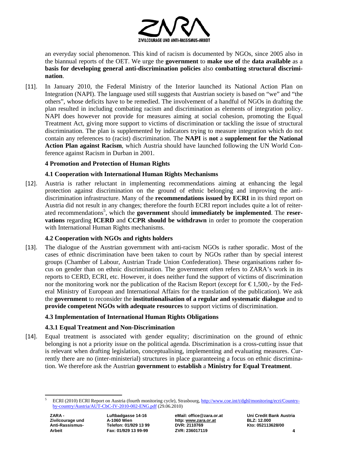

an everyday social phenomenon. This kind of racism is documented by NGOs, since 2005 also in the biannual reports of the OET. We urge the **government** to **make use of** the **data available** as a **basis for developing general anti-discrimination policies** also **combatting structural discrimination**.

[11]. In January 2010, the Federal Ministry of the Interior launched its National Action Plan on Integration (NAPI). The language used still suggests that Austrian society is based on "we" and "the others", whose deficits have to be remedied. The involvement of a handful of NGOs in drafting the plan resulted in including combating racism and discrimination as elements of integration policy. NAPI does however not provide for measures aiming at social cohesion, promoting the Equal Treatment Act, giving more support to victims of discrimination or tackling the issue of structural discrimination. The plan is supplemented by indicators trying to measure integration which do not contain any references to (racist) discrimination. The **NAPI** is **not** a **supplement for the National Action Plan against Racism**, which Austria should have launched following the UN World Conference against Racism in Durban in 2001.

## **4 Promotion and Protection of Human Rights**

## **4.1 Cooperation with International Human Rights Mechanisms**

[12]. Austria is rather reluctant in implementing recommendations aiming at enhancing the legal protection against discrimination on the ground of ethnic belonging and improving the antidiscrimination infrastructure. Many of the **recommendations issued by ECRI** in its third report on Austria did not result in any changes; therefore the fourth ECRI report includes quite a lot of reiterated recommendations<sup>5</sup>, which the **government** should **immediately be implemented**. The **reservations** regarding **ICERD** and **CCPR should be withdrawn** in order to promote the cooperation with International Human Rights mechanisms.

# **4.2 Cooperation with NGOs and rights holders**

[13]. The dialogue of the Austrian government with anti-racism NGOs is rather sporadic. Most of the cases of ethnic discrimination have been taken to court by NGOs rather than by special interest groups (Chamber of Labour, Austrian Trade Union Confederation). These organisations rather focus on gender than on ethnic discrimination. The government often refers to ZARA's work in its reports to CERD, ECRI, etc. However, it does neither fund the support of victims of discrimination nor the monitoring work nor the publication of the Racism Report (except for  $\epsilon$ 1,500,- by the Federal Ministry of European and International Affairs for the translation of the publication). We ask the **government** to reconsider the **institutionalisation of a regular and systematic dialogue** and to **provide competent NGOs with adequate resources** to support victims of discrimination.

# **4.3 Implementation of International Human Rights Obligations**

#### **4.3.1 Equal Treatment and Non-Discrimination**

[14]. Equal treatment is associated with gender equality; discrimination on the ground of ethnic belonging is not a priority issue on the political agenda. Discrimination is a cross-cutting issue that is relevant when drafting legislation, conceptualising, implementing and evaluating measures. Currently there are no (inter-ministerial) structures in place guaranteeing a focus on ethnic discrimination. We therefore ask the Austrian **government** to **establish** a **Ministry for Equal Treatment**.

 $\overline{a}$ 5 ECRI (2010) ECRI Report on Austria (fourth monitoring cycle), Strasbourg, http://www.coe.int/t/dghl/monitoring/ecri/Countryby-country/Austria/AUT-CbC-IV-2010-002-ENG.pdf (29.06.2010)